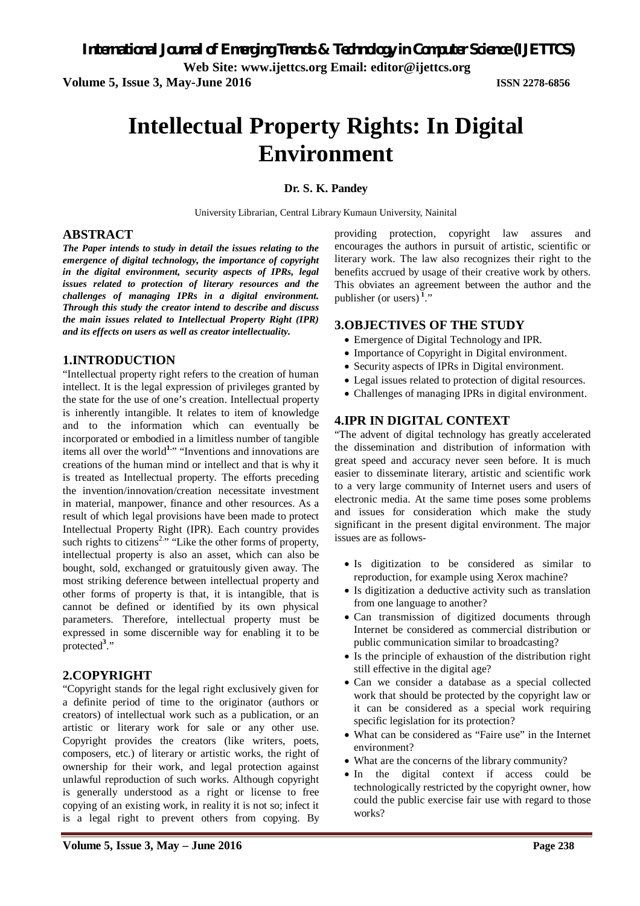**Web Site: www.ijettcs.org Email: editor@ijettcs.org** 

**Volume 5, Issue 3, May-June 2016 ISSN 2278-6856**

# **Intellectual Property Rights: In Digital Environment**

**Dr. S. K. Pandey**

University Librarian, Central Library Kumaun University, Nainital

#### **ABSTRACT**

*The Paper intends to study in detail the issues relating to the emergence of digital technology, the importance of copyright in the digital environment, security aspects of IPRs, legal issues related to protection of literary resources and the challenges of managing IPRs in a digital environment. Through this study the creator intend to describe and discuss the main issues related to Intellectual Property Right (IPR) and its effects on users as well as creator intellectuality.*

#### **1.INTRODUCTION**

"Intellectual property right refers to the creation of human intellect. It is the legal expression of privileges granted by the state for the use of one's creation. Intellectual property is inherently intangible. It relates to item of knowledge and to the information which can eventually be incorporated or embodied in a limitless number of tangible items all over the world<sup>1</sup>.<sup>2</sup> "Inventions and innovations are creations of the human mind or intellect and that is why it is treated as Intellectual property. The efforts preceding the invention/innovation/creation necessitate investment in material, manpower, finance and other resources. As a result of which legal provisions have been made to protect Intellectual Property Right (IPR). Each country provides such rights to citizens<sup>2.</sup>" "Like the other forms of property, intellectual property is also an asset, which can also be bought, sold, exchanged or gratuitously given away. The most striking deference between intellectual property and other forms of property is that, it is intangible, that is cannot be defined or identified by its own physical parameters. Therefore, intellectual property must be expressed in some discernible way for enabling it to be protected**<sup>3</sup>** ."

#### **2.COPYRIGHT**

"Copyright stands for the legal right exclusively given for a definite period of time to the originator (authors or creators) of intellectual work such as a publication, or an artistic or literary work for sale or any other use. Copyright provides the creators (like writers, poets, composers, etc.) of literary or artistic works, the right of ownership for their work, and legal protection against unlawful reproduction of such works. Although copyright is generally understood as a right or license to free copying of an existing work, in reality it is not so; infect it is a legal right to prevent others from copying. By

providing protection, copyright law assures and encourages the authors in pursuit of artistic, scientific or literary work. The law also recognizes their right to the benefits accrued by usage of their creative work by others. This obviates an agreement between the author and the publisher (or users)<sup>1</sup>."

#### **3.OBJECTIVES OF THE STUDY**

- Emergence of Digital Technology and IPR.
- Importance of Copyright in Digital environment.
- Security aspects of IPRs in Digital environment.
- Legal issues related to protection of digital resources.
- Challenges of managing IPRs in digital environment.

#### **4.IPR IN DIGITAL CONTEXT**

"The advent of digital technology has greatly accelerated the dissemination and distribution of information with great speed and accuracy never seen before. It is much easier to disseminate literary, artistic and scientific work to a very large community of Internet users and users of electronic media. At the same time poses some problems and issues for consideration which make the study significant in the present digital environment. The major issues are as follows-

- Is digitization to be considered as similar to reproduction, for example using Xerox machine?
- Is digitization a deductive activity such as translation from one language to another?
- Can transmission of digitized documents through Internet be considered as commercial distribution or public communication similar to broadcasting?
- Is the principle of exhaustion of the distribution right still effective in the digital age?
- Can we consider a database as a special collected work that should be protected by the copyright law or it can be considered as a special work requiring specific legislation for its protection?
- What can be considered as "Faire use" in the Internet environment?
- What are the concerns of the library community?
- In the digital context if access could be technologically restricted by the copyright owner, how could the public exercise fair use with regard to those works?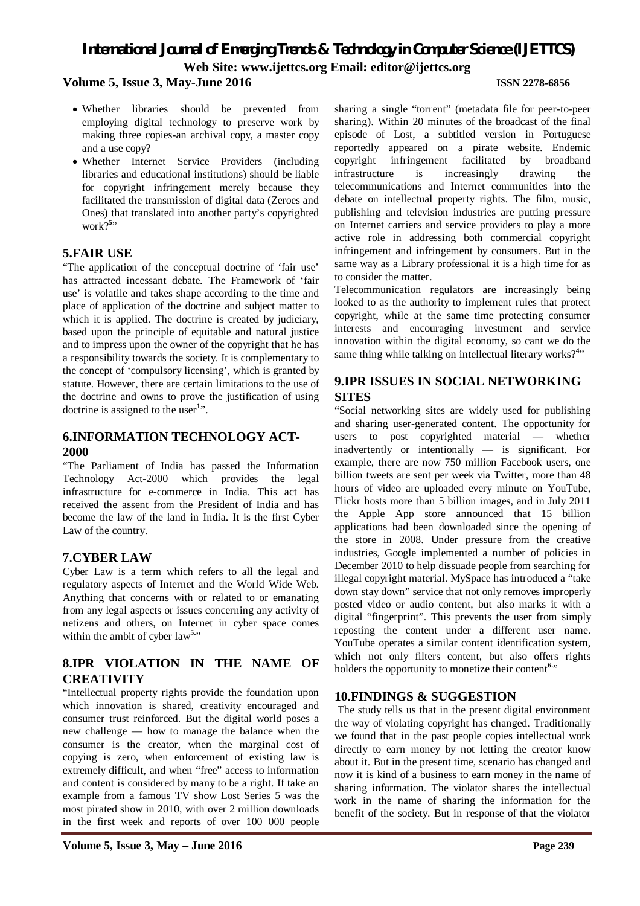### *International Journal of Emerging Trends & Technology in Computer Science (IJETTCS)* **Web Site: www.ijettcs.org Email: editor@ijettcs.org**

#### **Volume 5, Issue 3, May-June 2016 ISSN 2278-6856**

- Whether libraries should be prevented from employing digital technology to preserve work by making three copies-an archival copy, a master copy and a use copy?
- Whether Internet Service Providers (including libraries and educational institutions) should be liable for copyright infringement merely because they facilitated the transmission of digital data (Zeroes and Ones) that translated into another party's copyrighted work?<sup>5</sup>"

#### **5.FAIR USE**

"The application of the conceptual doctrine of 'fair use' has attracted incessant debate. The Framework of 'fair use' is volatile and takes shape according to the time and place of application of the doctrine and subject matter to which it is applied. The doctrine is created by judiciary, based upon the principle of equitable and natural justice and to impress upon the owner of the copyright that he has a responsibility towards the society. It is complementary to the concept of 'compulsory licensing', which is granted by statute. However, there are certain limitations to the use of the doctrine and owns to prove the justification of using doctrine is assigned to the user<sup>1</sup>".

#### **6.INFORMATION TECHNOLOGY ACT-2000**

"The Parliament of India has passed the Information Technology Act-2000 which provides the legal infrastructure for e-commerce in India. This act has received the assent from the President of India and has become the law of the land in India. It is the first Cyber Law of the country.

### **7.CYBER LAW**

Cyber Law is a term which refers to all the legal and regulatory aspects of Internet and the World Wide Web. Anything that concerns with or related to or emanating from any legal aspects or issues concerning any activity of netizens and others, on Internet in cyber space comes within the ambit of cyber law<sup>5.</sup>"

#### **8.IPR VIOLATION IN THE NAME OF CREATIVITY**

"Intellectual property rights provide the foundation upon which innovation is shared, creativity encouraged and consumer trust reinforced. But the digital world poses a new challenge — how to manage the balance when the consumer is the creator, when the marginal cost of copying is zero, when enforcement of existing law is extremely difficult, and when "free" access to information and content is considered by many to be a right. If take an example from a famous TV show Lost Series 5 was the most pirated show in 2010, with over 2 million downloads in the first week and reports of over 100 000 people

sharing a single "torrent" (metadata file for peer-to-peer sharing). Within 20 minutes of the broadcast of the final episode of Lost, a subtitled version in Portuguese reportedly appeared on a pirate website. Endemic copyright infringement facilitated by broadband infrastructure is increasingly drawing the telecommunications and Internet communities into the debate on intellectual property rights. The film, music, publishing and television industries are putting pressure on Internet carriers and service providers to play a more active role in addressing both commercial copyright infringement and infringement by consumers. But in the same way as a Library professional it is a high time for as to consider the matter.

Telecommunication regulators are increasingly being looked to as the authority to implement rules that protect copyright, while at the same time protecting consumer interests and encouraging investment and service innovation within the digital economy, so cant we do the same thing while talking on intellectual literary works?<sup>4</sup>"

### **9.IPR ISSUES IN SOCIAL NETWORKING SITES**

"Social networking sites are widely used for publishing and sharing user-generated content. The opportunity for users to post copyrighted material — whether inadvertently or intentionally — is significant. For example, there are now 750 million Facebook users, one billion tweets are sent per week via Twitter, more than 48 hours of video are uploaded every minute on YouTube, Flickr hosts more than 5 billion images, and in July 2011 the Apple App store announced that 15 billion applications had been downloaded since the opening of the store in 2008. Under pressure from the creative industries, Google implemented a number of policies in December 2010 to help dissuade people from searching for illegal copyright material. MySpace has introduced a "take down stay down" service that not only removes improperly posted video or audio content, but also marks it with a digital "fingerprint". This prevents the user from simply reposting the content under a different user name. YouTube operates a similar content identification system, which not only filters content, but also offers rights holders the opportunity to monetize their content<sup>6.</sup>"

#### **10.FINDINGS & SUGGESTION**

The study tells us that in the present digital environment the way of violating copyright has changed. Traditionally we found that in the past people copies intellectual work directly to earn money by not letting the creator know about it. But in the present time, scenario has changed and now it is kind of a business to earn money in the name of sharing information. The violator shares the intellectual work in the name of sharing the information for the benefit of the society. But in response of that the violator